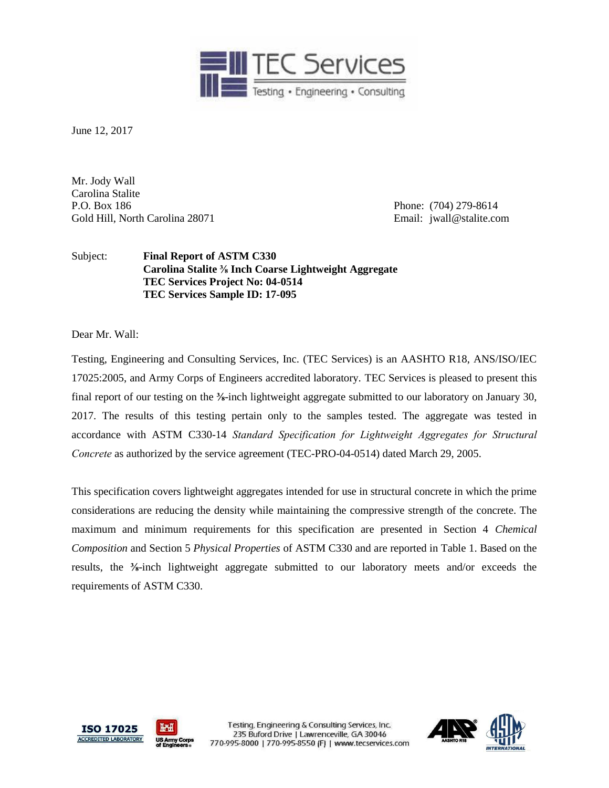

June 12, 2017

Mr. Jody Wall Carolina Stalite P.O. Box 186 Phone: (704) 279-8614 Gold Hill, North Carolina 28071 **Email:** jwall@stalite.com

Subject: **Final Report of ASTM C330 Carolina Stalite ⅜ Inch Coarse Lightweight Aggregate TEC Services Project No: 04-0514 TEC Services Sample ID: 17-095**

Dear Mr. Wall:

Testing, Engineering and Consulting Services, Inc. (TEC Services) is an AASHTO R18, ANS/ISO/IEC 17025:2005, and Army Corps of Engineers accredited laboratory. TEC Services is pleased to present this final report of our testing on the **⅜**-inch lightweight aggregate submitted to our laboratory on January 30, 2017. The results of this testing pertain only to the samples tested. The aggregate was tested in accordance with ASTM C330-14 *Standard Specification for Lightweight Aggregates for Structural Concrete* as authorized by the service agreement (TEC-PRO-04-0514) dated March 29, 2005.

This specification covers lightweight aggregates intended for use in structural concrete in which the prime considerations are reducing the density while maintaining the compressive strength of the concrete. The maximum and minimum requirements for this specification are presented in Section 4 *Chemical Composition* and Section 5 *Physical Properties* of ASTM C330 and are reported in Table 1. Based on the results, the **⅜**-inch lightweight aggregate submitted to our laboratory meets and/or exceeds the requirements of ASTM C330.



Testing, Engineering & Consulting Services, Inc. 235 Buford Drive | Lawrenceville, GA 30046 770-995-8000 | 770-995-8550 (F) | www.tecservices.com

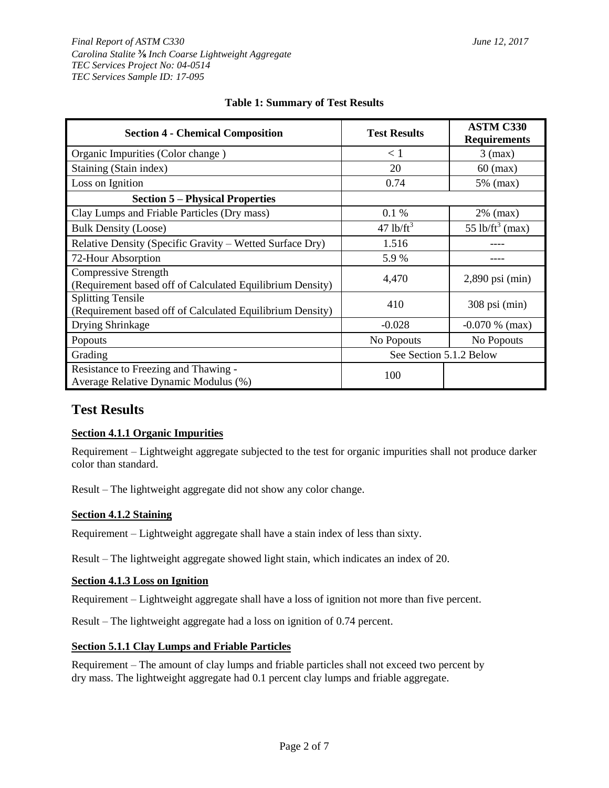#### *Final Report of ASTM C330 June 12, 2017 Carolina Stalite* **⅜** *Inch Coarse Lightweight Aggregate TEC Services Project No: 04-0514 TEC Services Sample ID: 17-095*

| <b>Section 4 - Chemical Composition</b>                                                  | <b>Test Results</b>     | <b>ASTM C330</b><br><b>Requirements</b> |  |
|------------------------------------------------------------------------------------------|-------------------------|-----------------------------------------|--|
| Organic Impurities (Color change)                                                        | $\leq 1$                | $3$ (max)                               |  |
| Staining (Stain index)                                                                   | 20                      | $60 \text{ (max)}$                      |  |
| Loss on Ignition                                                                         | 0.74                    | 5% (max)                                |  |
| <b>Section 5 – Physical Properties</b>                                                   |                         |                                         |  |
| Clay Lumps and Friable Particles (Dry mass)                                              | 0.1%                    | $2\%$ (max)                             |  |
| <b>Bulk Density (Loose)</b>                                                              | $47$ lb/ft <sup>3</sup> | 55 lb/ft <sup>3</sup> (max)             |  |
| Relative Density (Specific Gravity – Wetted Surface Dry)                                 | 1.516                   |                                         |  |
| 72-Hour Absorption                                                                       | 5.9%                    |                                         |  |
| <b>Compressive Strength</b><br>(Requirement based off of Calculated Equilibrium Density) | 4,470                   | $2,890$ psi (min)                       |  |
| <b>Splitting Tensile</b><br>(Requirement based off of Calculated Equilibrium Density)    | 410                     | $308$ psi (min)                         |  |
| Drying Shrinkage                                                                         | $-0.028$                | $-0.070\%$ (max)                        |  |
| Popouts                                                                                  | No Popouts              | No Popouts                              |  |
| Grading                                                                                  | See Section 5.1.2 Below |                                         |  |
| Resistance to Freezing and Thawing -<br>Average Relative Dynamic Modulus (%)             | 100                     |                                         |  |

# **Table 1: Summary of Test Results**

# **Test Results**

# **Section 4.1.1 Organic Impurities**

Requirement – Lightweight aggregate subjected to the test for organic impurities shall not produce darker color than standard.

Result – The lightweight aggregate did not show any color change.

# **Section 4.1.2 Staining**

Requirement – Lightweight aggregate shall have a stain index of less than sixty.

Result – The lightweight aggregate showed light stain, which indicates an index of 20.

### **Section 4.1.3 Loss on Ignition**

Requirement – Lightweight aggregate shall have a loss of ignition not more than five percent.

Result – The lightweight aggregate had a loss on ignition of 0.74 percent.

#### **Section 5.1.1 Clay Lumps and Friable Particles**

Requirement – The amount of clay lumps and friable particles shall not exceed two percent by dry mass. The lightweight aggregate had 0.1 percent clay lumps and friable aggregate.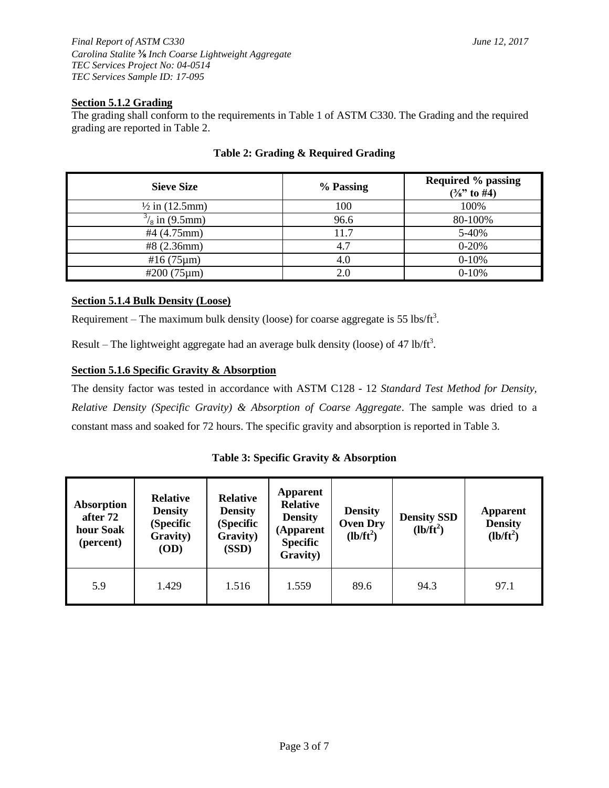## **Section 5.1.2 Grading**

The grading shall conform to the requirements in Table 1 of ASTM C330. The Grading and the required grading are reported in Table 2.

| <b>Sieve Size</b>         | % Passing | <b>Required % passing</b><br>$(\frac{3}{8})$ to #4) |
|---------------------------|-----------|-----------------------------------------------------|
| $\frac{1}{2}$ in (12.5mm) | 100       | 100%                                                |
| $\frac{3}{8}$ in (9.5mm)  | 96.6      | 80-100%                                             |
| #4 $(4.75$ mm $)$         | 11.7      | 5-40%                                               |
| #8(2.36mm)                | 4.7       | $0 - 20%$                                           |
| #16 $(75 \mu m)$          | 4.0       | $0 - 10%$                                           |
| $#200(75 \mu m)$          | 2.0       | $0-10%$                                             |

# **Table 2: Grading & Required Grading**

## **Section 5.1.4 Bulk Density (Loose)**

Requirement – The maximum bulk density (loose) for coarse aggregate is 55 lbs/ft<sup>3</sup>.

Result – The lightweight aggregate had an average bulk density (loose) of 47 lb/ft<sup>3</sup>.

#### **Section 5.1.6 Specific Gravity & Absorption**

The density factor was tested in accordance with ASTM C128 - 12 *Standard Test Method for Density, Relative Density (Specific Gravity) & Absorption of Coarse Aggregate*. The sample was dried to a constant mass and soaked for 72 hours. The specific gravity and absorption is reported in Table 3.

#### **Table 3: Specific Gravity & Absorption**

| Absorption<br>after 72<br>hour Soak<br>(percent) | <b>Relative</b><br><b>Density</b><br>(Specific<br>Gravity)<br>(OD) | <b>Relative</b><br><b>Density</b><br>(Specific<br>Gravity)<br>(SSD) | <b>Apparent</b><br><b>Relative</b><br><b>Density</b><br>(Apparent<br><b>Specific</b><br>Gravity) | <b>Density</b><br><b>Oven Dry</b><br>$(lb/ft^2)$ | <b>Density SSD</b><br>$(lb/ft^2)$ | <b>Apparent</b><br><b>Density</b><br>$(lb/ft^2)$ |
|--------------------------------------------------|--------------------------------------------------------------------|---------------------------------------------------------------------|--------------------------------------------------------------------------------------------------|--------------------------------------------------|-----------------------------------|--------------------------------------------------|
| 5.9                                              | 1.429                                                              | 1.516                                                               | 1.559                                                                                            | 89.6                                             | 94.3                              | 97.1                                             |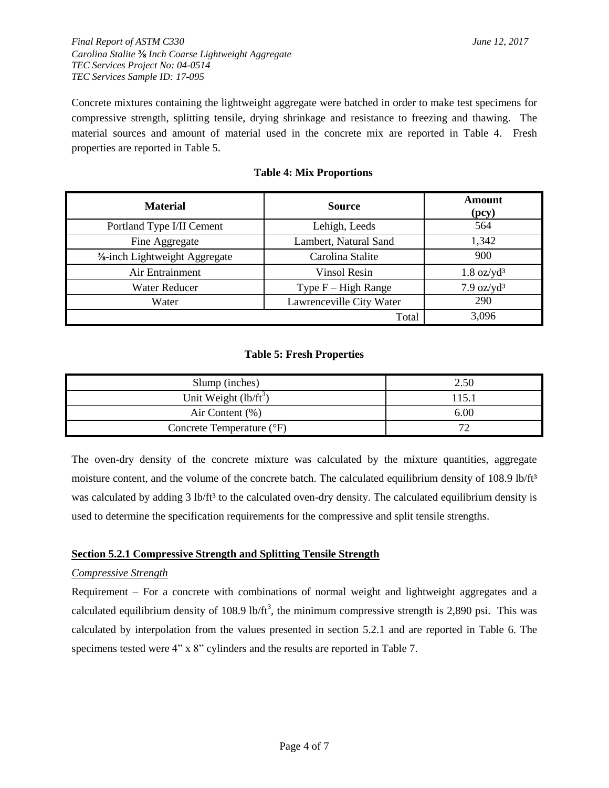Concrete mixtures containing the lightweight aggregate were batched in order to make test specimens for compressive strength, splitting tensile, drying shrinkage and resistance to freezing and thawing. The material sources and amount of material used in the concrete mix are reported in Table 4. Fresh properties are reported in Table 5.

| <b>Material</b>                                                | <b>Source</b>            | <b>Amount</b><br>(pcy)       |
|----------------------------------------------------------------|--------------------------|------------------------------|
| Portland Type I/II Cement                                      | Lehigh, Leeds            | 564                          |
| Fine Aggregate                                                 | Lambert, Natural Sand    | 1,342                        |
| <b><sup>3</sup></b> ⁄ <sub>8</sub> -inch Lightweight Aggregate | Carolina Stalite         | 900                          |
| Air Entrainment                                                | <b>Vinsol Resin</b>      | $1.8 \text{ oz}/\text{yd}^3$ |
| <b>Water Reducer</b>                                           | Type $F - High Range$    | $7.9 \text{ oz}/\text{yd}^3$ |
| Water                                                          | Lawrenceville City Water | 290                          |
|                                                                | Total                    | 3,096                        |

### **Table 4: Mix Proportions**

#### **Table 5: Fresh Properties**

| Slump (inches)            | 2.50  |
|---------------------------|-------|
| Unit Weight $(lb/ft^3)$   | 115.1 |
| Air Content (%)           | 6.00  |
| Concrete Temperature (°F) | 70    |

The oven-dry density of the concrete mixture was calculated by the mixture quantities, aggregate moisture content, and the volume of the concrete batch. The calculated equilibrium density of 108.9 lb/ft<sup>3</sup> was calculated by adding 3 lb/ft<sup>3</sup> to the calculated oven-dry density. The calculated equilibrium density is used to determine the specification requirements for the compressive and split tensile strengths.

#### **Section 5.2.1 Compressive Strength and Splitting Tensile Strength**

#### *Compressive Strength*

Requirement – For a concrete with combinations of normal weight and lightweight aggregates and a calculated equilibrium density of 108.9 lb/ft<sup>3</sup>, the minimum compressive strength is 2,890 psi. This was calculated by interpolation from the values presented in section 5.2.1 and are reported in Table 6. The specimens tested were 4" x 8" cylinders and the results are reported in Table 7.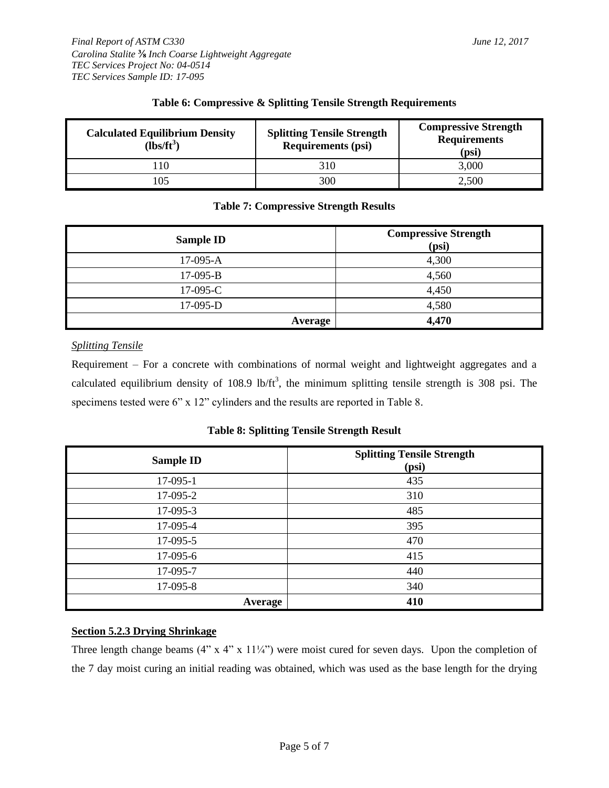| <b>Calculated Equilibrium Density</b><br>$\text{lbs/ft}^3$ | <b>Splitting Tensile Strength</b><br><b>Requirements (psi)</b> | <b>Compressive Strength</b><br><b>Requirements</b><br>(psi) |
|------------------------------------------------------------|----------------------------------------------------------------|-------------------------------------------------------------|
|                                                            | 310                                                            | 3,000                                                       |
| 105                                                        | 300                                                            | 2,500                                                       |

## **Table 6: Compressive & Splitting Tensile Strength Requirements**

# **Table 7: Compressive Strength Results**

| <b>Sample ID</b> | <b>Compressive Strength</b><br>(psi) |
|------------------|--------------------------------------|
| $17-095-A$       | 4,300                                |
| $17-095-B$       | 4,560                                |
| $17-095-C$       | 4,450                                |
| $17-095-D$       | 4,580                                |
| Average          | 4,470                                |

## *Splitting Tensile*

Requirement – For a concrete with combinations of normal weight and lightweight aggregates and a calculated equilibrium density of 108.9 lb/ $ft^3$ , the minimum splitting tensile strength is 308 psi. The specimens tested were 6" x 12" cylinders and the results are reported in Table 8.

#### **Table 8: Splitting Tensile Strength Result**

| <b>Sample ID</b> | <b>Splitting Tensile Strength</b><br>(psi) |
|------------------|--------------------------------------------|
| 17-095-1         | 435                                        |
| 17-095-2         | 310                                        |
| 17-095-3         | 485                                        |
| 17-095-4         | 395                                        |
| 17-095-5         | 470                                        |
| 17-095-6         | 415                                        |
| 17-095-7         | 440                                        |
| 17-095-8         | 340                                        |
| <b>Average</b>   | 410                                        |

#### **Section 5.2.3 Drying Shrinkage**

Three length change beams  $(4" x 4" x 11<sup>1</sup>/<sub>4</sub>")$  were moist cured for seven days. Upon the completion of the 7 day moist curing an initial reading was obtained, which was used as the base length for the drying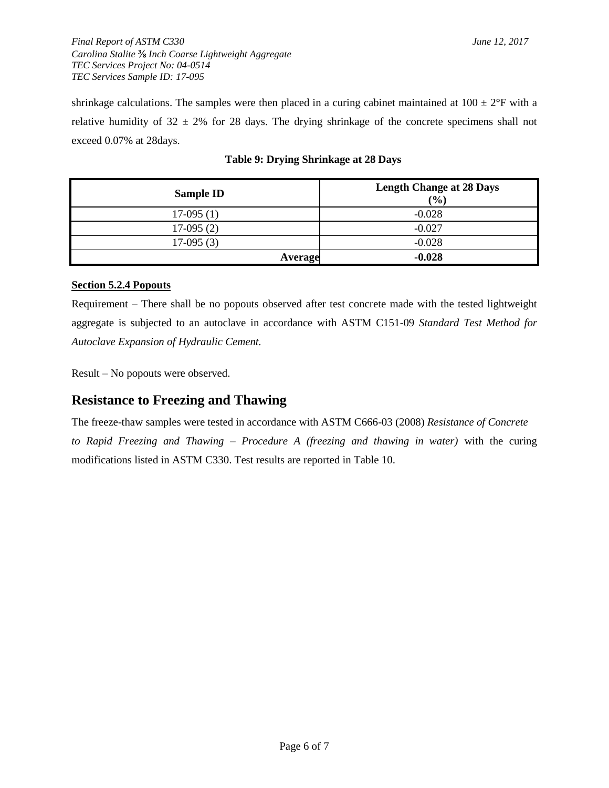*Final Report of ASTM C330 June 12, 2017 Carolina Stalite* **⅜** *Inch Coarse Lightweight Aggregate TEC Services Project No: 04-0514 TEC Services Sample ID: 17-095*

shrinkage calculations. The samples were then placed in a curing cabinet maintained at  $100 \pm 2$ °F with a relative humidity of  $32 \pm 2\%$  for 28 days. The drying shrinkage of the concrete specimens shall not exceed 0.07% at 28days.

| <b>Sample ID</b> | <b>Length Change at 28 Days</b><br>(%) |
|------------------|----------------------------------------|
| $17-095(1)$      | $-0.028$                               |
| $17-095(2)$      | $-0.027$                               |
| $17-095(3)$      | $-0.028$                               |
| Average          | $-0.028$                               |

# **Table 9: Drying Shrinkage at 28 Days**

## **Section 5.2.4 Popouts**

Requirement – There shall be no popouts observed after test concrete made with the tested lightweight aggregate is subjected to an autoclave in accordance with ASTM C151-09 *Standard Test Method for Autoclave Expansion of Hydraulic Cement.*

Result – No popouts were observed.

# **Resistance to Freezing and Thawing**

The freeze-thaw samples were tested in accordance with ASTM C666-03 (2008) *Resistance of Concrete to Rapid Freezing and Thawing – Procedure A (freezing and thawing in water)* with the curing modifications listed in ASTM C330. Test results are reported in Table 10.